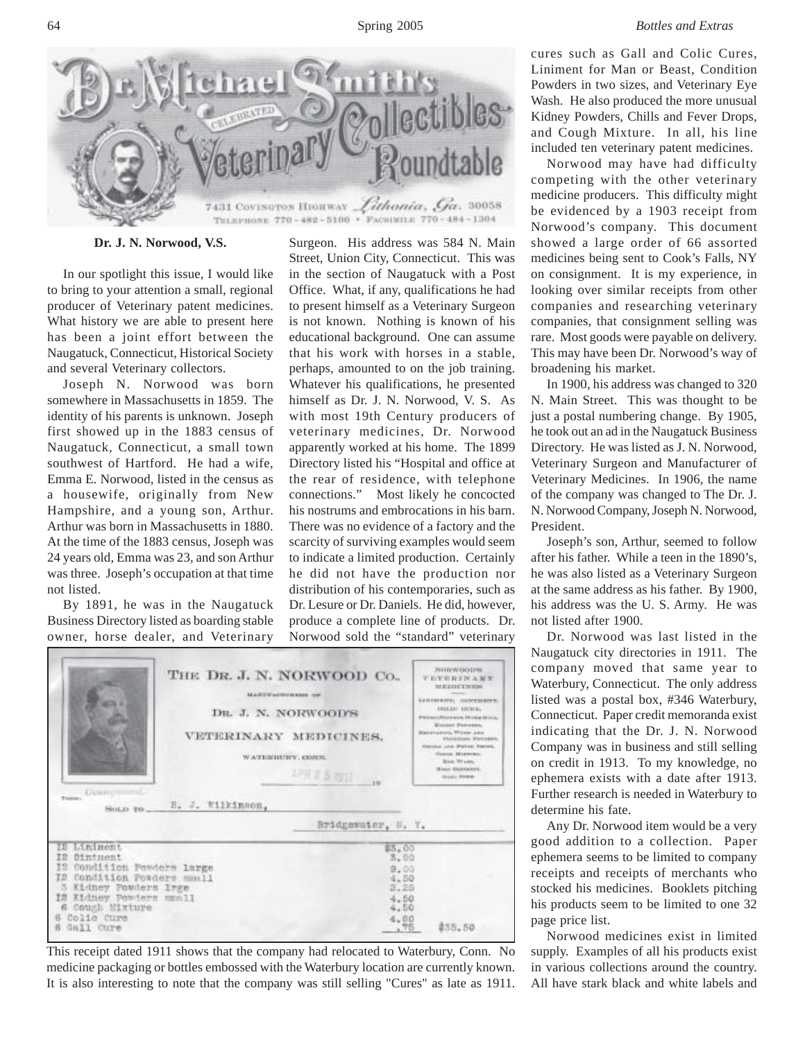

**Dr. J. N. Norwood, V.S.**

In our spotlight this issue, I would like to bring to your attention a small, regional producer of Veterinary patent medicines. What history we are able to present here has been a joint effort between the Naugatuck, Connecticut, Historical Society and several Veterinary collectors.

Joseph N. Norwood was born somewhere in Massachusetts in 1859. The identity of his parents is unknown. Joseph first showed up in the 1883 census of Naugatuck, Connecticut, a small town southwest of Hartford. He had a wife, Emma E. Norwood, listed in the census as a housewife, originally from New Hampshire, and a young son, Arthur. Arthur was born in Massachusetts in 1880. At the time of the 1883 census, Joseph was 24 years old, Emma was 23, and son Arthur was three. Joseph's occupation at that time not listed.

By 1891, he was in the Naugatuck Business Directory listed as boarding stable owner, horse dealer, and Veterinary

Surgeon. His address was 584 N. Main Street, Union City, Connecticut. This was in the section of Naugatuck with a Post Office. What, if any, qualifications he had to present himself as a Veterinary Surgeon is not known. Nothing is known of his educational background. One can assume that his work with horses in a stable, perhaps, amounted to on the job training. Whatever his qualifications, he presented himself as Dr. J. N. Norwood, V. S. As with most 19th Century producers of veterinary medicines, Dr. Norwood apparently worked at his home. The 1899 Directory listed his "Hospital and office at the rear of residence, with telephone connections." Most likely he concocted his nostrums and embrocations in his barn. There was no evidence of a factory and the scarcity of surviving examples would seem to indicate a limited production. Certainly he did not have the production nor distribution of his contemporaries, such as Dr. Lesure or Dr. Daniels. He did, however, produce a complete line of products. Dr. Norwood sold the "standard" veterinary

| <b>Upssichlings</b><br>Tours.                                                                                                                                                                     | THE DR. J. N. NORWOOD Co.,<br>MARST VALUELLE ENGINEER<br>DR. J. N. NORWOOD'S<br>VETERINARY MEDICINES,<br>WATERHEIPY, CONTE. | 4円 2.5.3911<br>ú.                                                                | NURWOODY6<br><b>VEYRRINAMY</b><br><b>MERIDITNION</b><br>LIBISTOW, SHENTHERT,<br>OUT DO ARTHUL.<br><b>Physical Piterinian Minima Minima</b><br>Electric Forcests.<br>Barerypeed, Wome John<br>Chickenhood, Ehrenbasen,<br>Elektric Lots Worker Electric<br>Europe Massenger<br>Rent Wann,<br><b>House Okansalate</b><br><b>STAAL STORE</b> |
|---------------------------------------------------------------------------------------------------------------------------------------------------------------------------------------------------|-----------------------------------------------------------------------------------------------------------------------------|----------------------------------------------------------------------------------|-------------------------------------------------------------------------------------------------------------------------------------------------------------------------------------------------------------------------------------------------------------------------------------------------------------------------------------------|
| Sono To                                                                                                                                                                                           | H. J. Wilkinson,                                                                                                            | Bridgewater, W. Y.                                                               |                                                                                                                                                                                                                                                                                                                                           |
| IE Liniment<br>IS:<br>Dimtment<br>IS.<br>Condition Penders large<br>I2 Condition Powders Small<br>Kidney Powders Irge<br>Kidney Powders mmnll<br>ĪЗ<br>6 Cough Mixture<br>Colic Cure<br>Gall Cure |                                                                                                                             | \$3.00<br>3,00<br>9.00<br>4.50<br>3,26<br>4.50<br>4.50<br>4.00<br>.76<br>\$55,50 |                                                                                                                                                                                                                                                                                                                                           |

This receipt dated 1911 shows that the company had relocated to Waterbury, Conn. No medicine packaging or bottles embossed with the Waterbury location are currently known. It is also interesting to note that the company was still selling "Cures" as late as 1911.

cures such as Gall and Colic Cures, Liniment for Man or Beast, Condition Powders in two sizes, and Veterinary Eye Wash. He also produced the more unusual Kidney Powders, Chills and Fever Drops, and Cough Mixture. In all, his line included ten veterinary patent medicines.

Norwood may have had difficulty competing with the other veterinary medicine producers. This difficulty might be evidenced by a 1903 receipt from Norwood's company. This document showed a large order of 66 assorted medicines being sent to Cook's Falls, NY on consignment. It is my experience, in looking over similar receipts from other companies and researching veterinary companies, that consignment selling was rare. Most goods were payable on delivery. This may have been Dr. Norwood's way of broadening his market.

In 1900, his address was changed to 320 N. Main Street. This was thought to be just a postal numbering change. By 1905, he took out an ad in the Naugatuck Business Directory. He was listed as J. N. Norwood, Veterinary Surgeon and Manufacturer of Veterinary Medicines. In 1906, the name of the company was changed to The Dr. J. N. Norwood Company, Joseph N. Norwood, President.

Joseph's son, Arthur, seemed to follow after his father. While a teen in the 1890's, he was also listed as a Veterinary Surgeon at the same address as his father. By 1900, his address was the U. S. Army. He was not listed after 1900.

Dr. Norwood was last listed in the Naugatuck city directories in 1911. The company moved that same year to Waterbury, Connecticut. The only address listed was a postal box, #346 Waterbury, Connecticut. Paper credit memoranda exist indicating that the Dr. J. N. Norwood Company was in business and still selling on credit in 1913. To my knowledge, no ephemera exists with a date after 1913. Further research is needed in Waterbury to determine his fate.

Any Dr. Norwood item would be a very good addition to a collection. Paper ephemera seems to be limited to company receipts and receipts of merchants who stocked his medicines. Booklets pitching his products seem to be limited to one 32 page price list.

Norwood medicines exist in limited supply. Examples of all his products exist in various collections around the country. All have stark black and white labels and